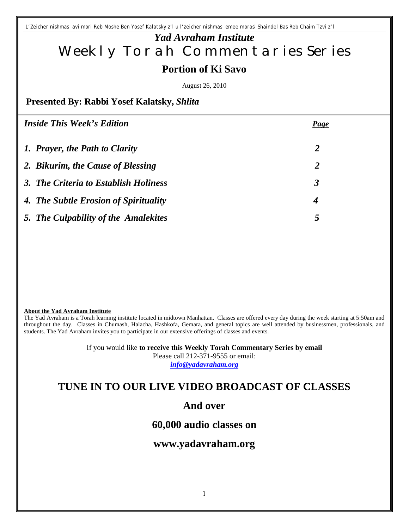*L'Zeicher nishmas avi mori Reb Moshe Ben Yosef Kalatsky z'l u l'zeicher nishmas emee morasi Shaindel Bas Reb Chaim Tzvi z'l*

# *Yad Avraham Institute* Weekly Torah Commentaries Series **Portion of Ki Savo**

August 26, 2010

**Presented By: Rabbi Yosef Kalatsky,** *Shlita*

| <i>Inside This Week's Edition</i>     | <b>Page</b> |
|---------------------------------------|-------------|
| 1. Prayer, the Path to Clarity        | 2           |
| 2. Bikurim, the Cause of Blessing     | 2           |
| 3. The Criteria to Establish Holiness | 3           |
| 4. The Subtle Erosion of Spirituality | 4           |
| 5. The Culpability of the Amalekites  | 5           |
|                                       |             |

#### **About the Yad Avraham Institute**

The Yad Avraham is a Torah learning institute located in midtown Manhattan. Classes are offered every day during the week starting at 5:50am and throughout the day. Classes in Chumash, Halacha, Hashkofa, Gemara, and general topics are well attended by businessmen, professionals, and students. The Yad Avraham invites you to participate in our extensive offerings of classes and events.

> If you would like **to receive this Weekly Torah Commentary Series by email** Please call 212-371-9555 or email: *info@yadavraham.org*

## **TUNE IN TO OUR LIVE VIDEO BROADCAST OF CLASSES**

## **And over**

**60,000 audio classes on**

## **www.yadavraham.org**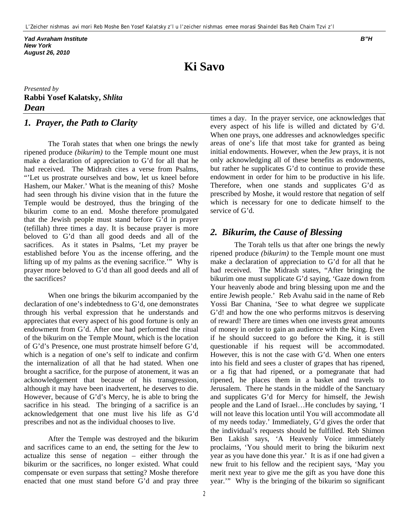*New York August 26, 2010*

# **Ki Savo**

*Presented by* **Rabbi Yosef Kalatsky,** *Shlita Dean* 

#### *1. Prayer, the Path to Clarity*

The Torah states that when one brings the newly ripened produce *(bikurim)* to the Temple mount one must make a declaration of appreciation to G'd for all that he had received. The Midrash cites a verse from Psalms, "'Let us prostrate ourselves and bow, let us kneel before Hashem, our Maker.' What is the meaning of this? Moshe had seen through his divine vision that in the future the Temple would be destroyed, thus the bringing of the bikurim come to an end. Moshe therefore promulgated that the Jewish people must stand before G'd in prayer (tefillah) three times a day. It is because prayer is more beloved to G'd than all good deeds and all of the sacrifices. As it states in Psalms, 'Let my prayer be established before You as the incense offering, and the lifting up of my palms as the evening sacrifice.'" Why is prayer more beloved to G'd than all good deeds and all of the sacrifices?

When one brings the bikurim accompanied by the declaration of one's indebtedness to G'd, one demonstrates through his verbal expression that he understands and appreciates that every aspect of his good fortune is only an endowment from G'd. After one had performed the ritual of the bikurim on the Temple Mount, which is the location of G'd's Presence, one must prostrate himself before G'd, which is a negation of one's self to indicate and confirm the internalization of all that he had stated. When one brought a sacrifice, for the purpose of atonement, it was an acknowledgement that because of his transgression, although it may have been inadvertent, he deserves to die. However, because of G'd's Mercy, he is able to bring the sacrifice in his stead. The bringing of a sacrifice is an acknowledgement that one must live his life as G'd prescribes and not as the individual chooses to live.

After the Temple was destroyed and the bikurim and sacrifices came to an end, the setting for the Jew to actualize this sense of negation – either through the bikurim or the sacrifices, no longer existed. What could compensate or even surpass that setting? Moshe therefore enacted that one must stand before G'd and pray three

times a day. In the prayer service, one acknowledges that every aspect of his life is willed and dictated by G'd. When one prays, one addresses and acknowledges specific areas of one's life that most take for granted as being initial endowments. However, when the Jew prays, it is not only acknowledging all of these benefits as endowments, but rather he supplicates G'd to continue to provide these endowment in order for him to be productive in his life. Therefore, when one stands and supplicates G'd as prescribed by Moshe, it would restore that negation of self which is necessary for one to dedicate himself to the service of G'd.

#### *2. Bikurim, the Cause of Blessing*

The Torah tells us that after one brings the newly ripened produce *(bikurim)* to the Temple mount one must make a declaration of appreciation to G'd for all that he had received. The Midrash states, "After bringing the bikurim one must supplicate G'd saying, 'Gaze down from Your heavenly abode and bring blessing upon me and the entire Jewish people.' Reb Avahu said in the name of Reb Yossi Bar Chanina, 'See to what degree we supplicate G'd! and how the one who performs mitzvos is deserving of reward! There are times when one invests great amounts of money in order to gain an audience with the King. Even if he should succeed to go before the King, it is still questionable if his request will be accommodated. However, this is not the case with G'd. When one enters into his field and sees a cluster of grapes that has ripened, or a fig that had ripened, or a pomegranate that had ripened, he places them in a basket and travels to Jerusalem. There he stands in the middle of the Sanctuary and supplicates G'd for Mercy for himself, the Jewish people and the Land of Israel…He concludes by saying, 'I will not leave this location until You will accommodate all of my needs today.' Immediately, G'd gives the order that the individual's requests should be fulfilled. Reb Shimon Ben Lakish says, 'A Heavenly Voice immediately proclaims, 'You should merit to bring the bikurim next year as you have done this year.' It is as if one had given a new fruit to his fellow and the recipient says, 'May you merit next year to give me the gift as you have done this year.'" Why is the bringing of the bikurim so significant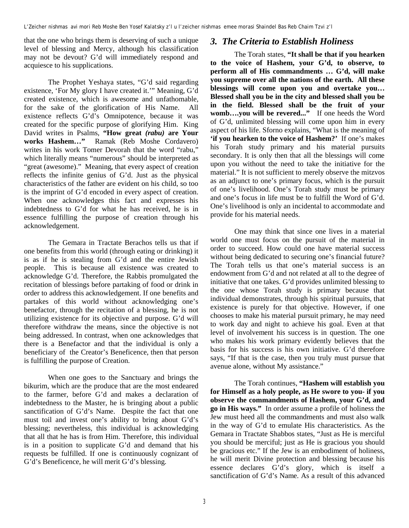that the one who brings them is deserving of such a unique level of blessing and Mercy, although his classification may not be devout? G'd will immediately respond and acquiesce to his supplications.

The Prophet Yeshaya states, "G'd said regarding existence, 'For My glory I have created it.'" Meaning, G'd created existence, which is awesome and unfathomable, for the sake of the glorification of His Name. All existence reflects G'd's Omnipotence, because it was created for the specific purpose of glorifying Him. King David writes in Psalms, **"How great** *(rabu)* **are Your works Hashem…"** Ramak (Reb Moshe Cordavero) writes in his work Tomer Devorah that the word "rabu," which literally means "numerous" should be interpreted as "great (awesome)." Meaning, that every aspect of creation reflects the infinite genius of G'd. Just as the physical characteristics of the father are evident on his child, so too is the imprint of G'd encoded in every aspect of creation. When one acknowledges this fact and expresses his indebtedness to G'd for what he has received, he is in essence fulfilling the purpose of creation through his acknowledgement.

The Gemara in Tractate Berachos tells us that if one benefits from this world (through eating or drinking) it is as if he is stealing from G'd and the entire Jewish people. This is because all existence was created to acknowledge G'd. Therefore, the Rabbis promulgated the recitation of blessings before partaking of food or drink in order to address this acknowledgement. If one benefits and partakes of this world without acknowledging one's benefactor, through the recitation of a blessing, he is not utilizing existence for its objective and purpose. G'd will therefore withdraw the means, since the objective is not being addressed. In contrast, when one acknowledges that there is a Benefactor and that the individual is only a beneficiary of the Creator's Beneficence, then that person is fulfilling the purpose of Creation.

When one goes to the Sanctuary and brings the bikurim, which are the produce that are the most endeared to the farmer, before G'd and makes a declaration of indebtedness to the Master, he is bringing about a public sanctification of G'd's Name. Despite the fact that one must toil and invest one's ability to bring about G'd's blessing; nevertheless, this individual is acknowledging that all that he has is from Him. Therefore, this individual is in a position to supplicate G'd and demand that his requests be fulfilled. If one is continuously cognizant of G'd's Beneficence, he will merit G'd's blessing.

### *3. The Criteria to Establish Holiness*

The Torah states, **"It shall be that if you hearken to the voice of Hashem, your G'd, to observe, to perform all of His commandments … G'd, will make you supreme over all the nations of the earth. All these blessings will come upon you and overtake you… Blessed shall you be in the city and blessed shall you be in the field. Blessed shall be the fruit of your womb….you will be revered..."** If one heeds the Word of G'd, unlimited blessing will come upon him in every aspect of his life. Sforno explains, "What is the meaning of **'if you hearken to the voice of Hashem?'** If one's makes his Torah study primary and his material pursuits secondary. It is only then that all the blessings will come upon you without the need to take the initiative for the material." It is not sufficient to merely observe the mitzvos as an adjunct to one's primary focus, which is the pursuit of one's livelihood. One's Torah study must be primary and one's focus in life must be to fulfill the Word of G'd. One's livelihood is only an incidental to accommodate and provide for his material needs.

One may think that since one lives in a material world one must focus on the pursuit of the material in order to succeed. How could one have material success without being dedicated to securing one's financial future? The Torah tells us that one's material success is an endowment from G'd and not related at all to the degree of initiative that one takes. G'd provides unlimited blessing to the one whose Torah study is primary because that individual demonstrates, through his spiritual pursuits, that existence is purely for that objective. However, if one chooses to make his material pursuit primary, he may need to work day and night to achieve his goal. Even at that level of involvement his success is in question. The one who makes his work primary evidently believes that the basis for his success is his own initiative. G'd therefore says, "If that is the case, then you truly must pursue that avenue alone, without My assistance."

The Torah continues, **"Hashem will establish you for Himself as a holy people, as He swore to you- if you observe the commandments of Hashem, your G'd, and go in His ways."** In order assume a profile of holiness the Jew must heed all the commandments and must also walk in the way of G'd to emulate His characteristics. As the Gemara in Tractate Shabbos states, "Just as He is merciful you should be merciful; just as He is gracious you should be gracious etc." If the Jew is an embodiment of holiness, he will merit Divine protection and blessing because his essence declares G'd's glory, which is itself a sanctification of G'd's Name. As a result of this advanced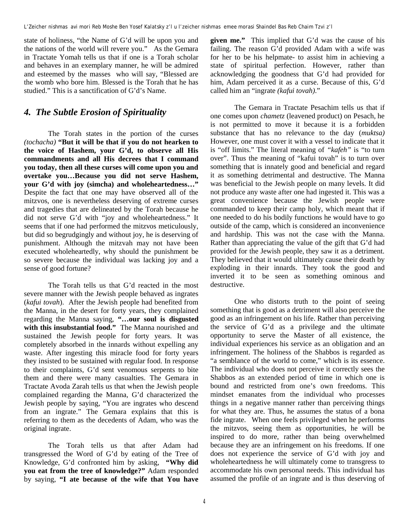state of holiness, "the Name of G'd will be upon you and the nations of the world will revere you." As the Gemara in Tractate Yomah tells us that if one is a Torah scholar and behaves in an exemplary manner, he will be admired and esteemed by the masses who will say, "Blessed are the womb who bore him. Blessed is the Torah that he has studied." This is a sanctification of G'd's Name.

#### *4. The Subtle Erosion of Spirituality*

The Torah states in the portion of the curses *(tochacha)* **"But it will be that if you do not hearken to the voice of Hashem, your G'd, to observe all His commandments and all His decrees that I command you today, then all these curses will come upon you and overtake you…Because you did not serve Hashem, your G'd with joy (simcha) and wholeheartedness…"** Despite the fact that one may have observed all of the mitzvos, one is nevertheless deserving of extreme curses and tragedies that are delineated by the Torah because he did not serve G'd with "joy and wholeheartedness." It seems that if one had performed the mitzvos meticulously, but did so begrudgingly and without joy, he is deserving of punishment. Although the mitzvah may not have been executed wholeheartedly, why should the punishment be so severe because the individual was lacking joy and a sense of good fortune?

The Torah tells us that G'd reacted in the most severe manner with the Jewish people behaved as ingrates (*kafui tovah*). After the Jewish people had benefited from the Manna, in the desert for forty years, they complained regarding the Manna saying, **"…our soul is disgusted with this insubstantial food."** The Manna nourished and sustained the Jewish people for forty years. It was completely absorbed in the innards without expelling any waste. After ingesting this miracle food for forty years they insisted to be sustained with regular food. In response to their complaints, G'd sent venomous serpents to bite them and there were many casualties. The Gemara in Tractate Avoda Zarah tells us that when the Jewish people complained regarding the Manna, G'd characterized the Jewish people by saying, "You are ingrates who descend from an ingrate." The Gemara explains that this is referring to them as the decedents of Adam, who was the original ingrate.

The Torah tells us that after Adam had transgressed the Word of G'd by eating of the Tree of Knowledge, G'd confronted him by asking, **"Why did you eat from the tree of knowledge?"** Adam responded by saying, **"I ate because of the wife that You have**  **given me."** This implied that G'd was the cause of his failing. The reason G'd provided Adam with a wife was for her to be his helpmate- to assist him in achieving a state of spiritual perfection. However, rather than acknowledging the goodness that G'd had provided for him, Adam perceived it as a curse. Because of this, G'd called him an "ingrate *(kafui tovah)*."

The Gemara in Tractate Pesachim tells us that if one comes upon *chametz* (leavened product) on Pesach, he is not permitted to move it because it is a forbidden substance that has no relevance to the day (*muktsa)* However, one must cover it with a vessel to indicate that it is "off limits." The literal meaning of *"kafeh"* is "to turn over". Thus the meaning of "kafui tovah" is to turn over something that is innately good and beneficial and regard it as something detrimental and destructive. The Manna was beneficial to the Jewish people on many levels. It did not produce any waste after one had ingested it. This was a great convenience because the Jewish people were commanded to keep their camp holy, which meant that if one needed to do his bodily functions he would have to go outside of the camp, which is considered an inconvenience and hardship. This was not the case with the Manna. Rather than appreciating the value of the gift that G'd had provided for the Jewish people, they saw it as a detriment. They believed that it would ultimately cause their death by exploding in their innards. They took the good and inverted it to be seen as something ominous and destructive.

One who distorts truth to the point of seeing something that is good as a detriment will also perceive the good as an infringement on his life. Rather than perceiving the service of G'd as a privilege and the ultimate opportunity to serve the Master of all existence, the individual experiences his service as an obligation and an infringement. The holiness of the Shabbos is regarded as "a semblance of the world to come," which is its essence. The individual who does not perceive it correctly sees the Shabbos as an extended period of time in which one is bound and restricted from one's own freedoms. This mindset emanates from the individual who processes things in a negative manner rather than perceiving things for what they are. Thus, he assumes the status of a bona fide ingrate. When one feels privileged when he performs the mitzvos, seeing them as opportunities, he will be inspired to do more, rather than being overwhelmed because they are an infringement on his freedoms. If one does not experience the service of G'd with joy and wholeheartedness he will ultimately come to transgress to accommodate his own personal needs. This individual has assumed the profile of an ingrate and is thus deserving of